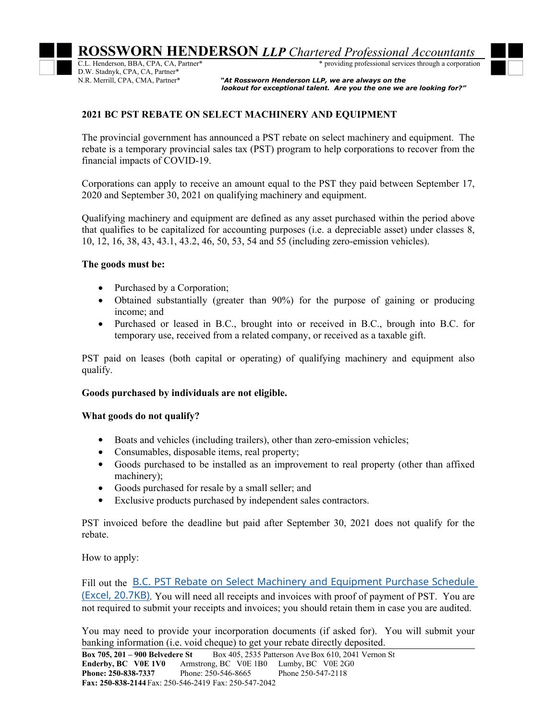D.W. Stadnyk, CPA, CA, Partner\*

\* providing professional services through a corporation

"At Rossworn Henderson LLP, we are always on the  *lookout for exceptional talent. Are you the one we are looking for?"*

## **2021 BC PST REBATE ON SELECT MACHINERY AND EQUIPMENT**

The provincial government has announced a PST rebate on select machinery and equipment. The rebate is a temporary provincial sales tax (PST) program to help corporations to recover from the financial impacts of COVID-19.

Corporations can apply to receive an amount equal to the PST they paid between September 17, 2020 and September 30, 2021 on qualifying machinery and equipment.

Qualifying machinery and equipment are defined as any asset purchased within the period above that qualifies to be capitalized for accounting purposes (i.e. a depreciable asset) under classes 8, 10, 12, 16, 38, 43, 43.1, 43.2, 46, 50, 53, 54 and 55 (including zero-emission vehicles).

## **The goods must be:**

- Purchased by a Corporation;
- Obtained substantially (greater than 90%) for the purpose of gaining or producing income; and
- Purchased or leased in B.C., brought into or received in B.C., brough into B.C. for temporary use, received from a related company, or received as a taxable gift.

PST paid on leases (both capital or operating) of qualifying machinery and equipment also qualify.

## **Goods purchased by individuals are not eligible.**

## **What goods do not qualify?**

- Boats and vehicles (including trailers), other than zero-emission vehicles;
- Consumables, disposable items, real property;
- Goods purchased to be installed as an improvement to real property (other than affixed machinery);
- Goods purchased for resale by a small seller; and
- Exclusive products purchased by independent sales contractors.

PST invoiced before the deadline but paid after September 30, 2021 does not qualify for the rebate.

How to apply:

Fill out the B.C. PST Rebate on Select Machinery and Equipment Purchase Schedule (Excel, 20.7KB). You will need all receipts and invoices with proof of payment of PST. You are not required to submit your receipts and invoices; you should retain them in case you are audited.

You may need to provide your incorporation documents (if asked for). You will submit your banking information (i.e. void cheque) to get your rebate directly deposited.